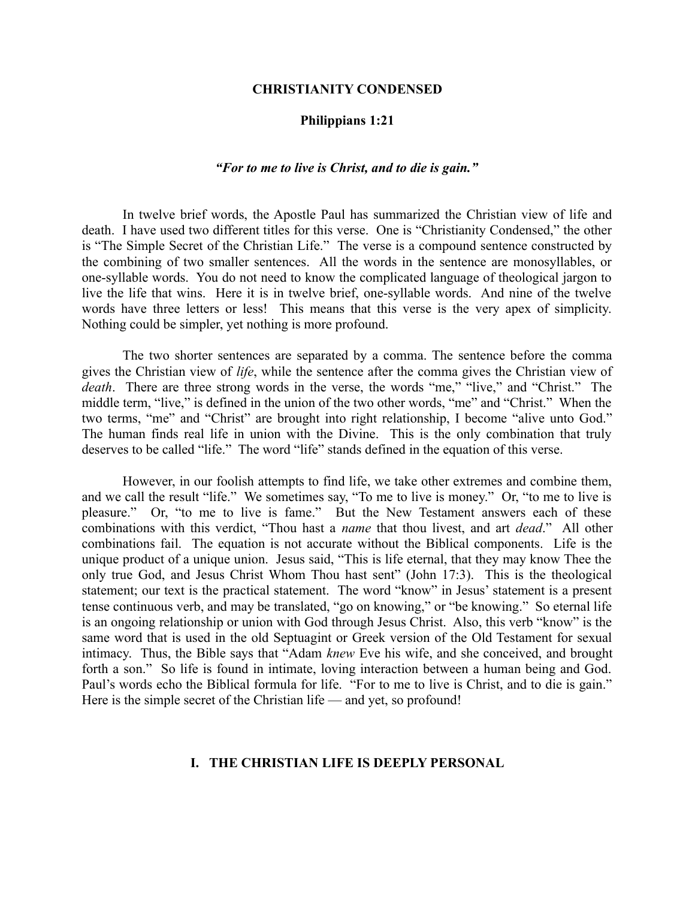#### **CHRISTIANITY CONDENSED**

### **Philippians 1:21**

#### *"For to me to live is Christ, and to die is gain."*

In twelve brief words, the Apostle Paul has summarized the Christian view of life and death. I have used two different titles for this verse. One is "Christianity Condensed," the other is "The Simple Secret of the Christian Life." The verse is a compound sentence constructed by the combining of two smaller sentences. All the words in the sentence are monosyllables, or one-syllable words. You do not need to know the complicated language of theological jargon to live the life that wins. Here it is in twelve brief, one-syllable words. And nine of the twelve words have three letters or less! This means that this verse is the very apex of simplicity. Nothing could be simpler, yet nothing is more profound.

The two shorter sentences are separated by a comma. The sentence before the comma gives the Christian view of *life*, while the sentence after the comma gives the Christian view of *death*. There are three strong words in the verse, the words "me," "live," and "Christ." The middle term, "live," is defined in the union of the two other words, "me" and "Christ." When the two terms, "me" and "Christ" are brought into right relationship, I become "alive unto God." The human finds real life in union with the Divine. This is the only combination that truly deserves to be called "life." The word "life" stands defined in the equation of this verse.

However, in our foolish attempts to find life, we take other extremes and combine them, and we call the result "life." We sometimes say, "To me to live is money." Or, "to me to live is pleasure." Or, "to me to live is fame." But the New Testament answers each of these combinations with this verdict, "Thou hast a *name* that thou livest, and art *dead*." All other combinations fail. The equation is not accurate without the Biblical components. Life is the unique product of a unique union. Jesus said, "This is life eternal, that they may know Thee the only true God, and Jesus Christ Whom Thou hast sent" (John 17:3). This is the theological statement; our text is the practical statement. The word "know" in Jesus' statement is a present tense continuous verb, and may be translated, "go on knowing," or "be knowing." So eternal life is an ongoing relationship or union with God through Jesus Christ. Also, this verb "know" is the same word that is used in the old Septuagint or Greek version of the Old Testament for sexual intimacy. Thus, the Bible says that "Adam *knew* Eve his wife, and she conceived, and brought forth a son." So life is found in intimate, loving interaction between a human being and God. Paul's words echo the Biblical formula for life. "For to me to live is Christ, and to die is gain." Here is the simple secret of the Christian life — and yet, so profound!

# **I. THE CHRISTIAN LIFE IS DEEPLY PERSONAL**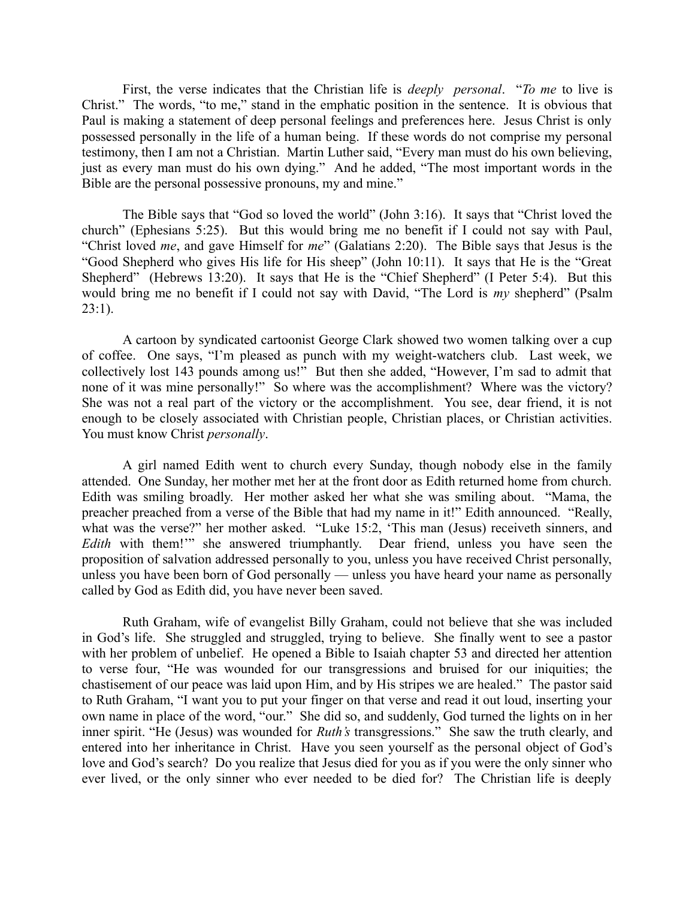First, the verse indicates that the Christian life is *deeply personal*. "*To me* to live is Christ." The words, "to me," stand in the emphatic position in the sentence. It is obvious that Paul is making a statement of deep personal feelings and preferences here. Jesus Christ is only possessed personally in the life of a human being. If these words do not comprise my personal testimony, then I am not a Christian. Martin Luther said, "Every man must do his own believing, just as every man must do his own dying." And he added, "The most important words in the Bible are the personal possessive pronouns, my and mine."

The Bible says that "God so loved the world" (John 3:16). It says that "Christ loved the church" (Ephesians 5:25). But this would bring me no benefit if I could not say with Paul, "Christ loved *me*, and gave Himself for *me*" (Galatians 2:20). The Bible says that Jesus is the "Good Shepherd who gives His life for His sheep" (John 10:11). It says that He is the "Great Shepherd" (Hebrews 13:20). It says that He is the "Chief Shepherd" (I Peter 5:4). But this would bring me no benefit if I could not say with David, "The Lord is *my* shepherd" (Psalm  $23:1$ ).

A cartoon by syndicated cartoonist George Clark showed two women talking over a cup of coffee. One says, "I'm pleased as punch with my weight-watchers club. Last week, we collectively lost 143 pounds among us!" But then she added, "However, I'm sad to admit that none of it was mine personally!" So where was the accomplishment? Where was the victory? She was not a real part of the victory or the accomplishment. You see, dear friend, it is not enough to be closely associated with Christian people, Christian places, or Christian activities. You must know Christ *personally*.

A girl named Edith went to church every Sunday, though nobody else in the family attended. One Sunday, her mother met her at the front door as Edith returned home from church. Edith was smiling broadly. Her mother asked her what she was smiling about. "Mama, the preacher preached from a verse of the Bible that had my name in it!" Edith announced. "Really, what was the verse?" her mother asked. "Luke 15:2, 'This man (Jesus) receiveth sinners, and *Edith* with them!'" she answered triumphantly. Dear friend, unless you have seen the proposition of salvation addressed personally to you, unless you have received Christ personally, unless you have been born of God personally — unless you have heard your name as personally called by God as Edith did, you have never been saved.

Ruth Graham, wife of evangelist Billy Graham, could not believe that she was included in God's life. She struggled and struggled, trying to believe. She finally went to see a pastor with her problem of unbelief. He opened a Bible to Isaiah chapter 53 and directed her attention to verse four, "He was wounded for our transgressions and bruised for our iniquities; the chastisement of our peace was laid upon Him, and by His stripes we are healed." The pastor said to Ruth Graham, "I want you to put your finger on that verse and read it out loud, inserting your own name in place of the word, "our." She did so, and suddenly, God turned the lights on in her inner spirit. "He (Jesus) was wounded for *Ruth's* transgressions." She saw the truth clearly, and entered into her inheritance in Christ. Have you seen yourself as the personal object of God's love and God's search? Do you realize that Jesus died for you as if you were the only sinner who ever lived, or the only sinner who ever needed to be died for? The Christian life is deeply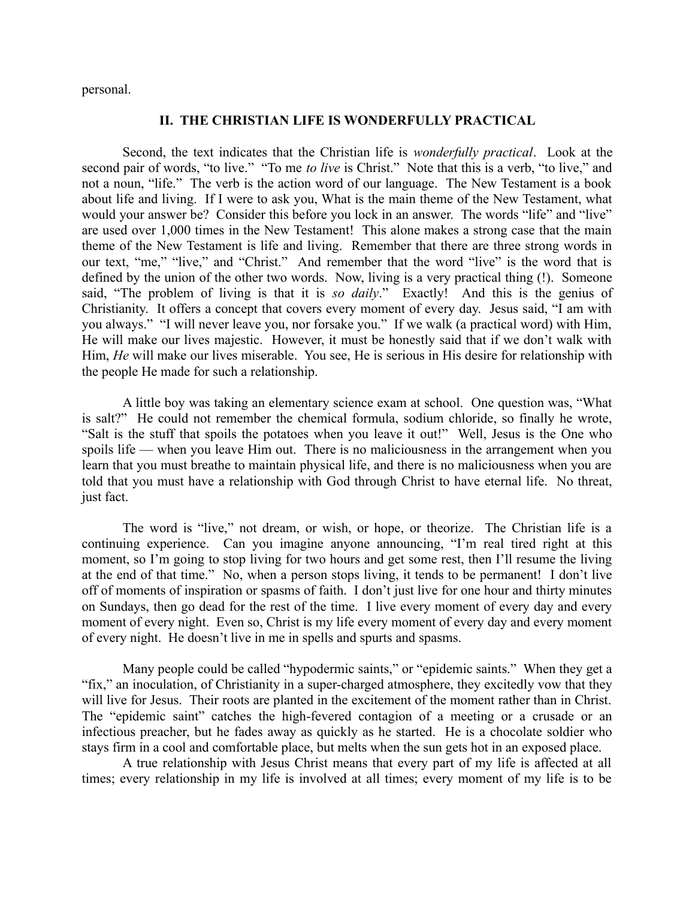personal.

### **II. THE CHRISTIAN LIFE IS WONDERFULLY PRACTICAL**

Second, the text indicates that the Christian life is *wonderfully practical*. Look at the second pair of words, "to live." "To me *to live* is Christ." Note that this is a verb, "to live," and not a noun, "life." The verb is the action word of our language. The New Testament is a book about life and living. If I were to ask you, What is the main theme of the New Testament, what would your answer be? Consider this before you lock in an answer. The words "life" and "live" are used over 1,000 times in the New Testament! This alone makes a strong case that the main theme of the New Testament is life and living. Remember that there are three strong words in our text, "me," "live," and "Christ." And remember that the word "live" is the word that is defined by the union of the other two words. Now, living is a very practical thing (!). Someone said, "The problem of living is that it is *so daily*." Exactly! And this is the genius of Christianity. It offers a concept that covers every moment of every day. Jesus said, "I am with you always." "I will never leave you, nor forsake you." If we walk (a practical word) with Him, He will make our lives majestic. However, it must be honestly said that if we don't walk with Him, *He* will make our lives miserable. You see, He is serious in His desire for relationship with the people He made for such a relationship.

A little boy was taking an elementary science exam at school. One question was, "What is salt?" He could not remember the chemical formula, sodium chloride, so finally he wrote, "Salt is the stuff that spoils the potatoes when you leave it out!" Well, Jesus is the One who spoils life — when you leave Him out. There is no maliciousness in the arrangement when you learn that you must breathe to maintain physical life, and there is no maliciousness when you are told that you must have a relationship with God through Christ to have eternal life. No threat, just fact.

The word is "live," not dream, or wish, or hope, or theorize. The Christian life is a continuing experience. Can you imagine anyone announcing, "I'm real tired right at this moment, so I'm going to stop living for two hours and get some rest, then I'll resume the living at the end of that time." No, when a person stops living, it tends to be permanent! I don't live off of moments of inspiration or spasms of faith. I don't just live for one hour and thirty minutes on Sundays, then go dead for the rest of the time. I live every moment of every day and every moment of every night. Even so, Christ is my life every moment of every day and every moment of every night. He doesn't live in me in spells and spurts and spasms.

Many people could be called "hypodermic saints," or "epidemic saints." When they get a "fix," an inoculation, of Christianity in a super-charged atmosphere, they excitedly vow that they will live for Jesus. Their roots are planted in the excitement of the moment rather than in Christ. The "epidemic saint" catches the high-fevered contagion of a meeting or a crusade or an infectious preacher, but he fades away as quickly as he started. He is a chocolate soldier who stays firm in a cool and comfortable place, but melts when the sun gets hot in an exposed place.

A true relationship with Jesus Christ means that every part of my life is affected at all times; every relationship in my life is involved at all times; every moment of my life is to be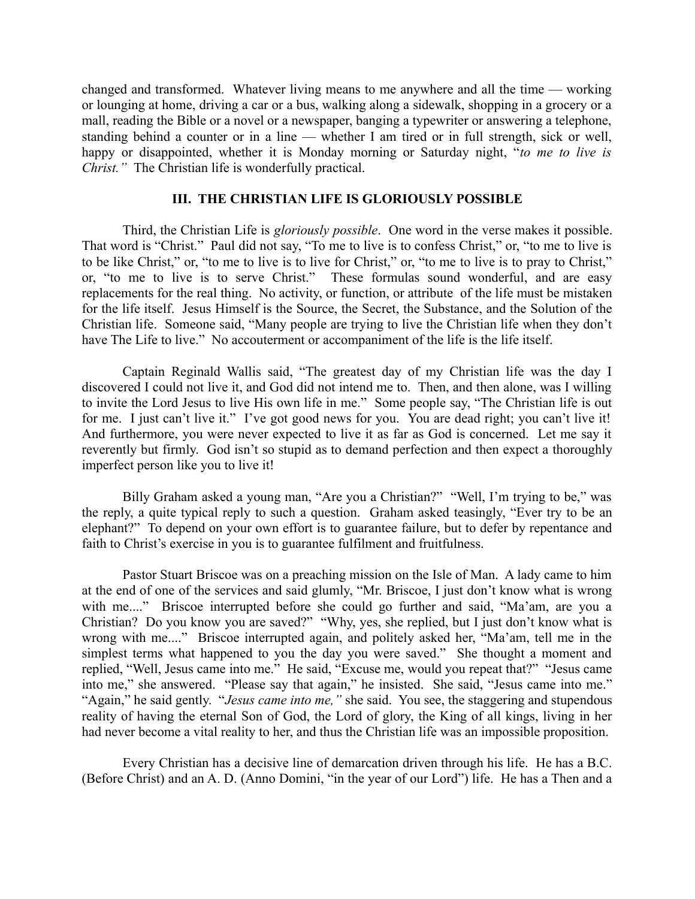changed and transformed. Whatever living means to me anywhere and all the time — working or lounging at home, driving a car or a bus, walking along a sidewalk, shopping in a grocery or a mall, reading the Bible or a novel or a newspaper, banging a typewriter or answering a telephone, standing behind a counter or in a line — whether I am tired or in full strength, sick or well, happy or disappointed, whether it is Monday morning or Saturday night, "*to me to live is Christ."* The Christian life is wonderfully practical.

# **III. THE CHRISTIAN LIFE IS GLORIOUSLY POSSIBLE**

Third, the Christian Life is *gloriously possible*. One word in the verse makes it possible. That word is "Christ." Paul did not say, "To me to live is to confess Christ," or, "to me to live is to be like Christ," or, "to me to live is to live for Christ," or, "to me to live is to pray to Christ," or, "to me to live is to serve Christ." These formulas sound wonderful, and are easy replacements for the real thing. No activity, or function, or attribute of the life must be mistaken for the life itself. Jesus Himself is the Source, the Secret, the Substance, and the Solution of the Christian life. Someone said, "Many people are trying to live the Christian life when they don't have The Life to live." No accouterment or accompaniment of the life is the life itself.

Captain Reginald Wallis said, "The greatest day of my Christian life was the day I discovered I could not live it, and God did not intend me to. Then, and then alone, was I willing to invite the Lord Jesus to live His own life in me." Some people say, "The Christian life is out for me. I just can't live it." I've got good news for you. You are dead right; you can't live it! And furthermore, you were never expected to live it as far as God is concerned. Let me say it reverently but firmly. God isn't so stupid as to demand perfection and then expect a thoroughly imperfect person like you to live it!

Billy Graham asked a young man, "Are you a Christian?" "Well, I'm trying to be," was the reply, a quite typical reply to such a question. Graham asked teasingly, "Ever try to be an elephant?" To depend on your own effort is to guarantee failure, but to defer by repentance and faith to Christ's exercise in you is to guarantee fulfilment and fruitfulness.

Pastor Stuart Briscoe was on a preaching mission on the Isle of Man. A lady came to him at the end of one of the services and said glumly, "Mr. Briscoe, I just don't know what is wrong with me...." Briscoe interrupted before she could go further and said, "Ma'am, are you a Christian? Do you know you are saved?" "Why, yes, she replied, but I just don't know what is wrong with me...." Briscoe interrupted again, and politely asked her, "Ma'am, tell me in the simplest terms what happened to you the day you were saved." She thought a moment and replied, "Well, Jesus came into me." He said, "Excuse me, would you repeat that?" "Jesus came into me," she answered. "Please say that again," he insisted. She said, "Jesus came into me." "Again," he said gently. "*Jesus came into me,"* she said. You see, the staggering and stupendous reality of having the eternal Son of God, the Lord of glory, the King of all kings, living in her had never become a vital reality to her, and thus the Christian life was an impossible proposition.

Every Christian has a decisive line of demarcation driven through his life. He has a B.C. (Before Christ) and an A. D. (Anno Domini, "in the year of our Lord") life. He has a Then and a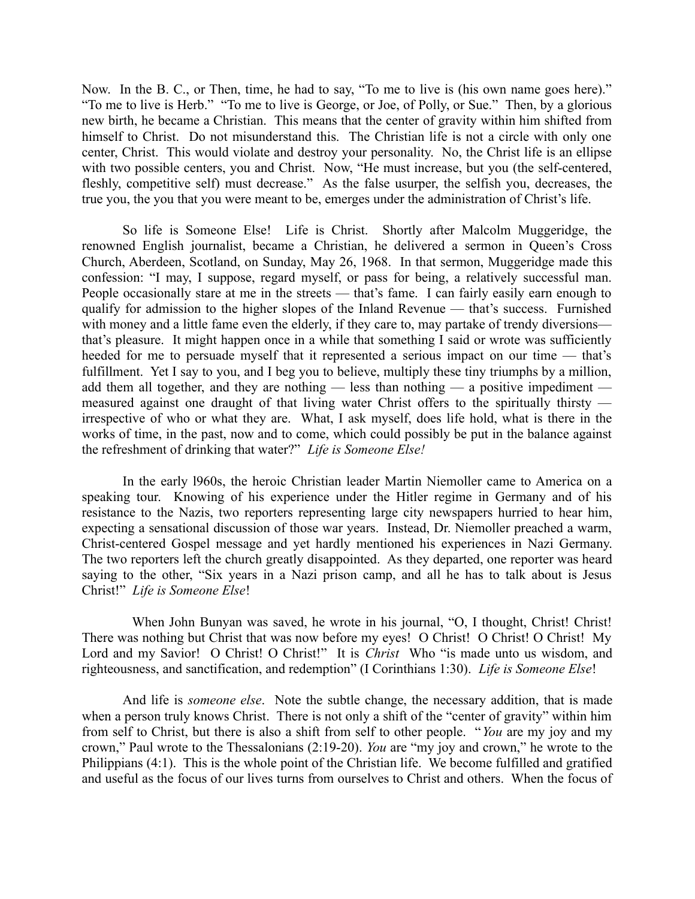Now. In the B. C., or Then, time, he had to say, "To me to live is (his own name goes here)." "To me to live is Herb." "To me to live is George, or Joe, of Polly, or Sue." Then, by a glorious new birth, he became a Christian. This means that the center of gravity within him shifted from himself to Christ. Do not misunderstand this. The Christian life is not a circle with only one center, Christ. This would violate and destroy your personality. No, the Christ life is an ellipse with two possible centers, you and Christ. Now, "He must increase, but you (the self-centered, fleshly, competitive self) must decrease." As the false usurper, the selfish you, decreases, the true you, the you that you were meant to be, emerges under the administration of Christ's life.

So life is Someone Else! Life is Christ. Shortly after Malcolm Muggeridge, the renowned English journalist, became a Christian, he delivered a sermon in Queen's Cross Church, Aberdeen, Scotland, on Sunday, May 26, 1968. In that sermon, Muggeridge made this confession: "I may, I suppose, regard myself, or pass for being, a relatively successful man. People occasionally stare at me in the streets — that's fame. I can fairly easily earn enough to qualify for admission to the higher slopes of the Inland Revenue — that's success. Furnished with money and a little fame even the elderly, if they care to, may partake of trendy diversions that's pleasure. It might happen once in a while that something I said or wrote was sufficiently heeded for me to persuade myself that it represented a serious impact on our time — that's fulfillment. Yet I say to you, and I beg you to believe, multiply these tiny triumphs by a million, add them all together, and they are nothing — less than nothing — a positive impediment measured against one draught of that living water Christ offers to the spiritually thirsty irrespective of who or what they are. What, I ask myself, does life hold, what is there in the works of time, in the past, now and to come, which could possibly be put in the balance against the refreshment of drinking that water?" *Life is Someone Else!*

In the early l960s, the heroic Christian leader Martin Niemoller came to America on a speaking tour. Knowing of his experience under the Hitler regime in Germany and of his resistance to the Nazis, two reporters representing large city newspapers hurried to hear him, expecting a sensational discussion of those war years. Instead, Dr. Niemoller preached a warm, Christ-centered Gospel message and yet hardly mentioned his experiences in Nazi Germany. The two reporters left the church greatly disappointed. As they departed, one reporter was heard saying to the other, "Six years in a Nazi prison camp, and all he has to talk about is Jesus Christ!" *Life is Someone Else*!

 When John Bunyan was saved, he wrote in his journal, "O, I thought, Christ! Christ! There was nothing but Christ that was now before my eyes! O Christ! O Christ! O Christ! My Lord and my Savior! O Christ! O Christ!" It is *Christ* Who "is made unto us wisdom, and righteousness, and sanctification, and redemption" (I Corinthians 1:30). *Life is Someone Else*!

And life is *someone else*. Note the subtle change, the necessary addition, that is made when a person truly knows Christ. There is not only a shift of the "center of gravity" within him from self to Christ, but there is also a shift from self to other people. "*You* are my joy and my crown," Paul wrote to the Thessalonians (2:19-20). *You* are "my joy and crown," he wrote to the Philippians (4:1). This is the whole point of the Christian life. We become fulfilled and gratified and useful as the focus of our lives turns from ourselves to Christ and others. When the focus of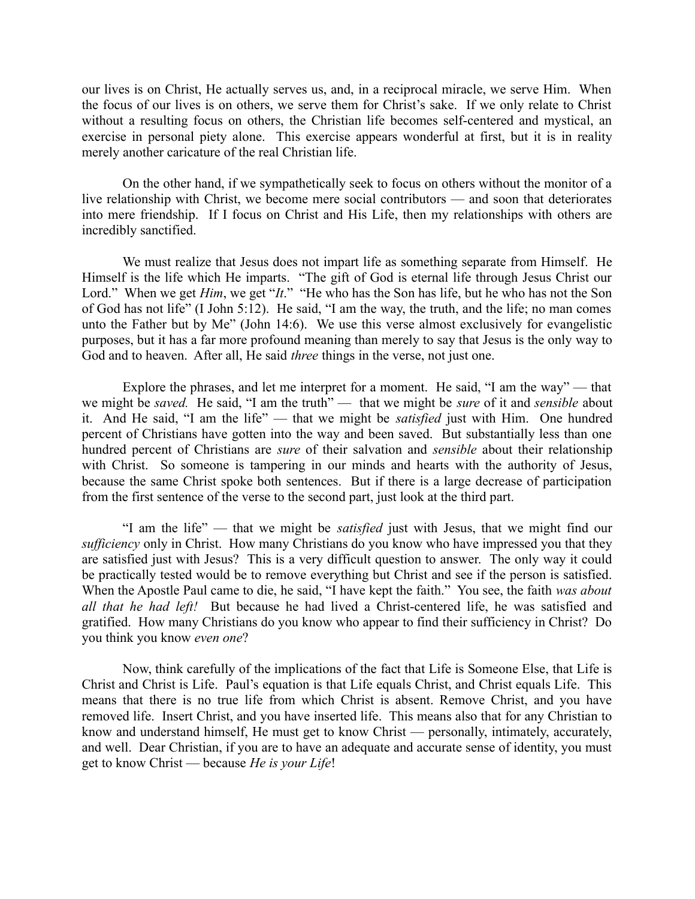our lives is on Christ, He actually serves us, and, in a reciprocal miracle, we serve Him. When the focus of our lives is on others, we serve them for Christ's sake. If we only relate to Christ without a resulting focus on others, the Christian life becomes self-centered and mystical, an exercise in personal piety alone. This exercise appears wonderful at first, but it is in reality merely another caricature of the real Christian life.

On the other hand, if we sympathetically seek to focus on others without the monitor of a live relationship with Christ, we become mere social contributors — and soon that deteriorates into mere friendship. If I focus on Christ and His Life, then my relationships with others are incredibly sanctified.

We must realize that Jesus does not impart life as something separate from Himself. He Himself is the life which He imparts. "The gift of God is eternal life through Jesus Christ our Lord." When we get *Him*, we get "*It*." "He who has the Son has life, but he who has not the Son of God has not life" (I John 5:12). He said, "I am the way, the truth, and the life; no man comes unto the Father but by Me" (John 14:6). We use this verse almost exclusively for evangelistic purposes, but it has a far more profound meaning than merely to say that Jesus is the only way to God and to heaven. After all, He said *three* things in the verse, not just one.

Explore the phrases, and let me interpret for a moment. He said, "I am the way" — that we might be *saved*. He said, "I am the truth" — that we might be *sure* of it and *sensible* about it. And He said, "I am the life" — that we might be *satisfied* just with Him. One hundred percent of Christians have gotten into the way and been saved. But substantially less than one hundred percent of Christians are *sure* of their salvation and *sensible* about their relationship with Christ. So someone is tampering in our minds and hearts with the authority of Jesus, because the same Christ spoke both sentences. But if there is a large decrease of participation from the first sentence of the verse to the second part, just look at the third part.

"I am the life" — that we might be *satisfied* just with Jesus, that we might find our *sufficiency* only in Christ. How many Christians do you know who have impressed you that they are satisfied just with Jesus? This is a very difficult question to answer. The only way it could be practically tested would be to remove everything but Christ and see if the person is satisfied. When the Apostle Paul came to die, he said, "I have kept the faith." You see, the faith *was about all that he had left!* But because he had lived a Christ-centered life, he was satisfied and gratified. How many Christians do you know who appear to find their sufficiency in Christ? Do you think you know *even one*?

Now, think carefully of the implications of the fact that Life is Someone Else, that Life is Christ and Christ is Life. Paul's equation is that Life equals Christ, and Christ equals Life. This means that there is no true life from which Christ is absent. Remove Christ, and you have removed life. Insert Christ, and you have inserted life. This means also that for any Christian to know and understand himself, He must get to know Christ — personally, intimately, accurately, and well. Dear Christian, if you are to have an adequate and accurate sense of identity, you must get to know Christ — because *He is your Life*!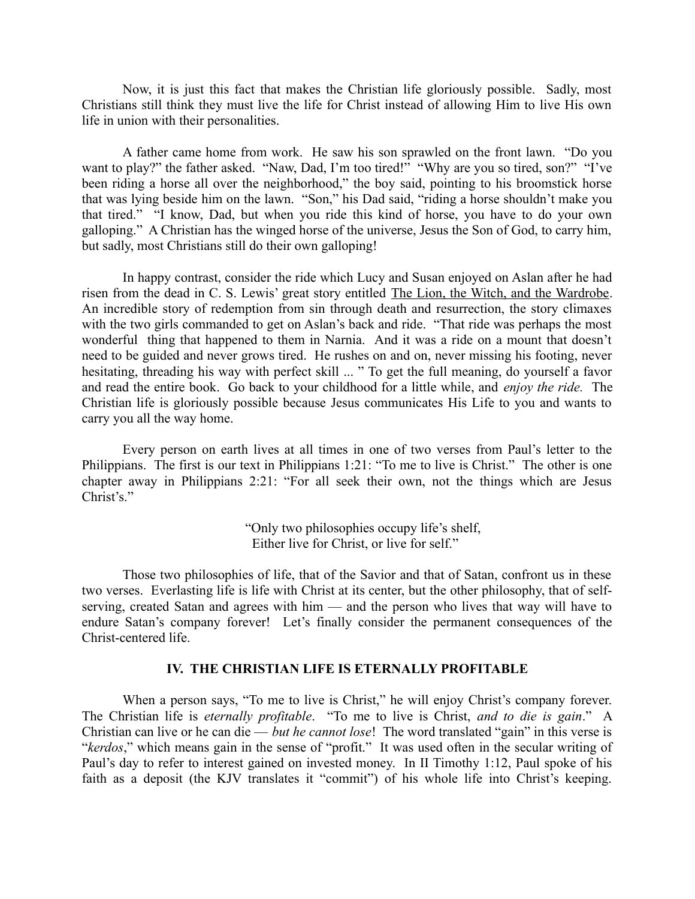Now, it is just this fact that makes the Christian life gloriously possible. Sadly, most Christians still think they must live the life for Christ instead of allowing Him to live His own life in union with their personalities.

A father came home from work. He saw his son sprawled on the front lawn. "Do you want to play?" the father asked. "Naw, Dad, I'm too tired!" "Why are you so tired, son?" "I've been riding a horse all over the neighborhood," the boy said, pointing to his broomstick horse that was lying beside him on the lawn. "Son," his Dad said, "riding a horse shouldn't make you that tired." "I know, Dad, but when you ride this kind of horse, you have to do your own galloping." A Christian has the winged horse of the universe, Jesus the Son of God, to carry him, but sadly, most Christians still do their own galloping!

In happy contrast, consider the ride which Lucy and Susan enjoyed on Aslan after he had risen from the dead in C. S. Lewis' great story entitled The Lion, the Witch, and the Wardrobe. An incredible story of redemption from sin through death and resurrection, the story climaxes with the two girls commanded to get on Aslan's back and ride. "That ride was perhaps the most wonderful thing that happened to them in Narnia. And it was a ride on a mount that doesn't need to be guided and never grows tired. He rushes on and on, never missing his footing, never hesitating, threading his way with perfect skill ... " To get the full meaning, do yourself a favor and read the entire book. Go back to your childhood for a little while, and *enjoy the ride.* The Christian life is gloriously possible because Jesus communicates His Life to you and wants to carry you all the way home.

Every person on earth lives at all times in one of two verses from Paul's letter to the Philippians. The first is our text in Philippians 1:21: "To me to live is Christ." The other is one chapter away in Philippians 2:21: "For all seek their own, not the things which are Jesus Christ's."

> "Only two philosophies occupy life's shelf, Either live for Christ, or live for self."

Those two philosophies of life, that of the Savior and that of Satan, confront us in these two verses. Everlasting life is life with Christ at its center, but the other philosophy, that of selfserving, created Satan and agrees with him — and the person who lives that way will have to endure Satan's company forever! Let's finally consider the permanent consequences of the Christ-centered life.

## **IV. THE CHRISTIAN LIFE IS ETERNALLY PROFITABLE**

When a person says, "To me to live is Christ," he will enjoy Christ's company forever. The Christian life is *eternally profitable*. "To me to live is Christ, *and to die is gain*." A Christian can live or he can die — *but he cannot lose*! The word translated "gain" in this verse is "*kerdos*," which means gain in the sense of "profit." It was used often in the secular writing of Paul's day to refer to interest gained on invested money. In II Timothy 1:12, Paul spoke of his faith as a deposit (the KJV translates it "commit") of his whole life into Christ's keeping.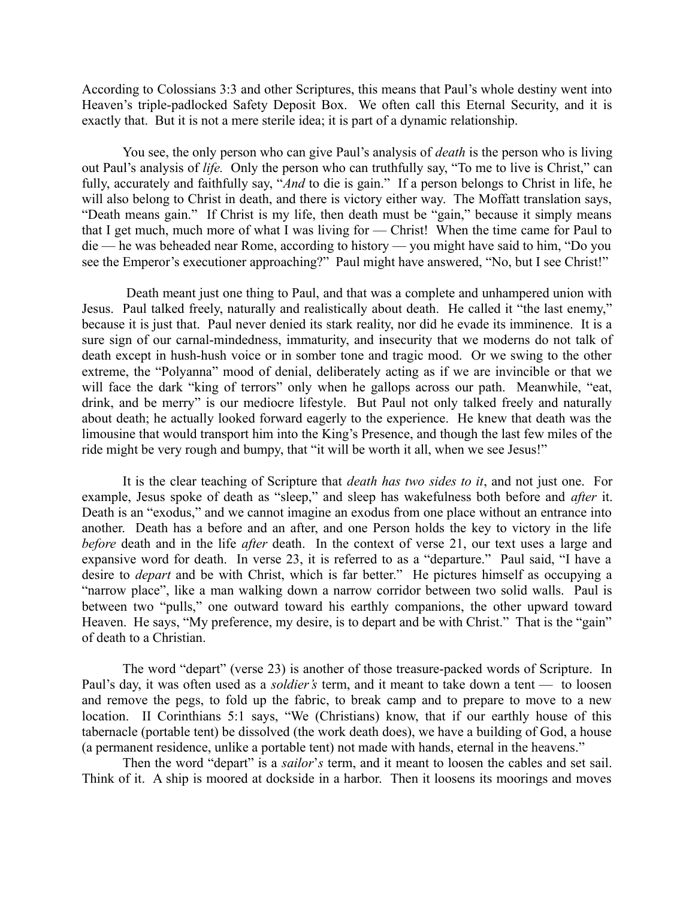According to Colossians 3:3 and other Scriptures, this means that Paul's whole destiny went into Heaven's triple-padlocked Safety Deposit Box. We often call this Eternal Security, and it is exactly that. But it is not a mere sterile idea; it is part of a dynamic relationship.

You see, the only person who can give Paul's analysis of *death* is the person who is living out Paul's analysis of *life.* Only the person who can truthfully say, "To me to live is Christ," can fully, accurately and faithfully say, "*And* to die is gain." If a person belongs to Christ in life, he will also belong to Christ in death, and there is victory either way. The Moffatt translation says, "Death means gain." If Christ is my life, then death must be "gain," because it simply means that I get much, much more of what I was living for — Christ! When the time came for Paul to die — he was beheaded near Rome, according to history — you might have said to him, "Do you see the Emperor's executioner approaching?" Paul might have answered, "No, but I see Christ!"

 Death meant just one thing to Paul, and that was a complete and unhampered union with Jesus. Paul talked freely, naturally and realistically about death. He called it "the last enemy," because it is just that. Paul never denied its stark reality, nor did he evade its imminence. It is a sure sign of our carnal-mindedness, immaturity, and insecurity that we moderns do not talk of death except in hush-hush voice or in somber tone and tragic mood. Or we swing to the other extreme, the "Polyanna" mood of denial, deliberately acting as if we are invincible or that we will face the dark "king of terrors" only when he gallops across our path. Meanwhile, "eat, drink, and be merry" is our mediocre lifestyle. But Paul not only talked freely and naturally about death; he actually looked forward eagerly to the experience. He knew that death was the limousine that would transport him into the King's Presence, and though the last few miles of the ride might be very rough and bumpy, that "it will be worth it all, when we see Jesus!"

It is the clear teaching of Scripture that *death has two sides to it*, and not just one. For example, Jesus spoke of death as "sleep," and sleep has wakefulness both before and *after* it. Death is an "exodus," and we cannot imagine an exodus from one place without an entrance into another. Death has a before and an after, and one Person holds the key to victory in the life *before* death and in the life *after* death. In the context of verse 21, our text uses a large and expansive word for death. In verse 23, it is referred to as a "departure." Paul said, "I have a desire to *depart* and be with Christ, which is far better." He pictures himself as occupying a "narrow place", like a man walking down a narrow corridor between two solid walls. Paul is between two "pulls," one outward toward his earthly companions, the other upward toward Heaven. He says, "My preference, my desire, is to depart and be with Christ." That is the "gain" of death to a Christian.

The word "depart" (verse 23) is another of those treasure-packed words of Scripture. In Paul's day, it was often used as a *soldier's* term, and it meant to take down a tent — to loosen and remove the pegs, to fold up the fabric, to break camp and to prepare to move to a new location. II Corinthians 5:1 says, "We (Christians) know, that if our earthly house of this tabernacle (portable tent) be dissolved (the work death does), we have a building of God, a house (a permanent residence, unlike a portable tent) not made with hands, eternal in the heavens."

Then the word "depart" is a *sailor*'*s* term, and it meant to loosen the cables and set sail. Think of it. A ship is moored at dockside in a harbor. Then it loosens its moorings and moves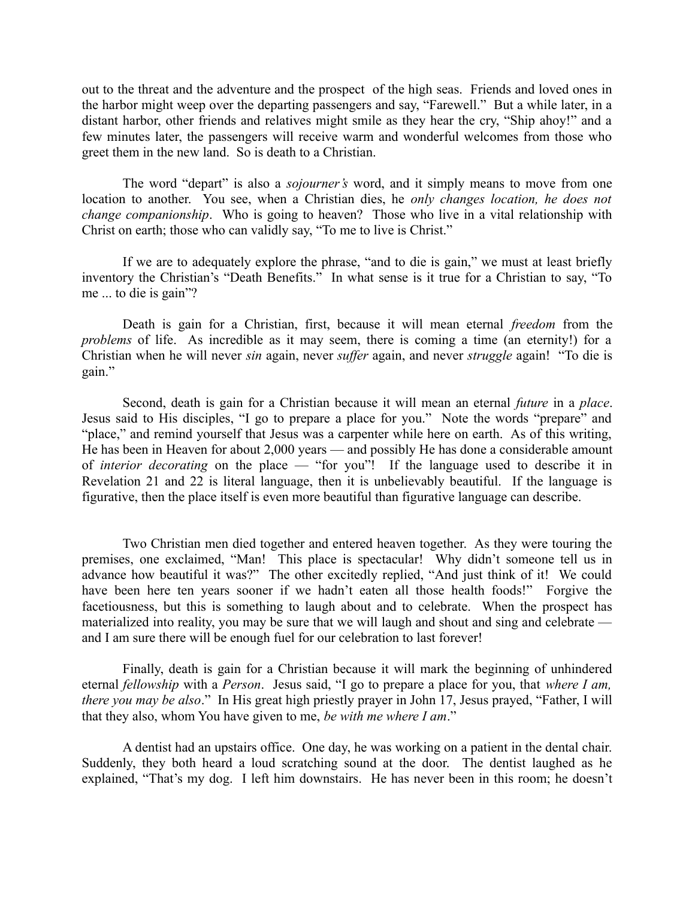out to the threat and the adventure and the prospect of the high seas. Friends and loved ones in the harbor might weep over the departing passengers and say, "Farewell." But a while later, in a distant harbor, other friends and relatives might smile as they hear the cry, "Ship ahoy!" and a few minutes later, the passengers will receive warm and wonderful welcomes from those who greet them in the new land. So is death to a Christian.

The word "depart" is also a *sojourner's* word, and it simply means to move from one location to another. You see, when a Christian dies, he *only changes location, he does not change companionship*. Who is going to heaven? Those who live in a vital relationship with Christ on earth; those who can validly say, "To me to live is Christ."

If we are to adequately explore the phrase, "and to die is gain," we must at least briefly inventory the Christian's "Death Benefits." In what sense is it true for a Christian to say, "To me ... to die is gain"?

Death is gain for a Christian, first, because it will mean eternal *freedom* from the *problems* of life. As incredible as it may seem, there is coming a time (an eternity!) for a Christian when he will never *sin* again, never *suffer* again, and never *struggle* again! "To die is gain."

Second, death is gain for a Christian because it will mean an eternal *future* in a *place*. Jesus said to His disciples, "I go to prepare a place for you." Note the words "prepare" and "place," and remind yourself that Jesus was a carpenter while here on earth. As of this writing, He has been in Heaven for about 2,000 years — and possibly He has done a considerable amount of *interior decorating* on the place — "for you"! If the language used to describe it in Revelation 21 and 22 is literal language, then it is unbelievably beautiful. If the language is figurative, then the place itself is even more beautiful than figurative language can describe.

Two Christian men died together and entered heaven together. As they were touring the premises, one exclaimed, "Man! This place is spectacular! Why didn't someone tell us in advance how beautiful it was?" The other excitedly replied, "And just think of it! We could have been here ten years sooner if we hadn't eaten all those health foods!" Forgive the facetiousness, but this is something to laugh about and to celebrate. When the prospect has materialized into reality, you may be sure that we will laugh and shout and sing and celebrate and I am sure there will be enough fuel for our celebration to last forever!

Finally, death is gain for a Christian because it will mark the beginning of unhindered eternal *fellowship* with a *Person*. Jesus said, "I go to prepare a place for you, that *where I am, there you may be also*." In His great high priestly prayer in John 17, Jesus prayed, "Father, I will that they also, whom You have given to me, *be with me where I am*."

A dentist had an upstairs office. One day, he was working on a patient in the dental chair. Suddenly, they both heard a loud scratching sound at the door. The dentist laughed as he explained, "That's my dog. I left him downstairs. He has never been in this room; he doesn't